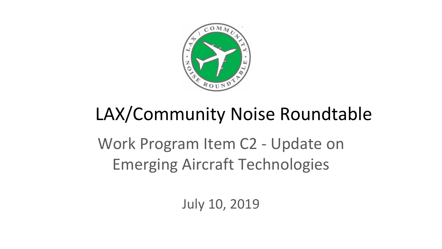

## LAX/Community Noise Roundtable

Work Program Item C2 - Update on Emerging Aircraft Technologies

July 10, 2019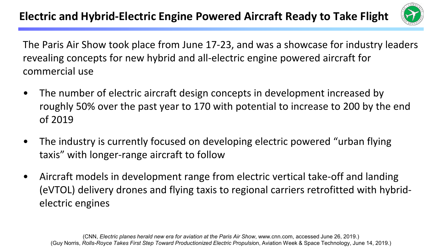

The Paris Air Show took place from June 17-23, and was a showcase for industry leaders revealing concepts for new hybrid and all-electric engine powered aircraft for commercial use

- The number of electric aircraft design concepts in development increased by roughly 50% over the past year to 170 with potential to increase to 200 by the end of 2019
- The industry is currently focused on developing electric powered "urban flying taxis" with longer-range aircraft to follow
- Aircraft models in development range from electric vertical take-off and landing (eVTOL) delivery drones and flying taxis to regional carriers retrofitted with hybridelectric engines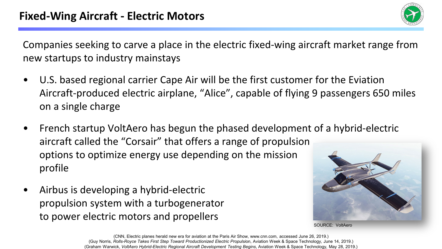

Companies seeking to carve a place in the electric fixed-wing aircraft market range from new startups to industry mainstays

- U.S. based regional carrier Cape Air will be the first customer for the Eviation Aircraft-produced electric airplane, "Alice", capable of flying 9 passengers 650 miles on a single charge
- French startup VoltAero has begun the phased development of a hybrid-electric aircraft called the "Corsair" that offers a range of propulsion options to optimize energy use depending on the mission profile
- Airbus is developing a hybrid-electric propulsion system with a turbogenerator to power electric motors and propellers



SOURCE: VoltAero

(CNN, Electric planes herald new era for aviation at the Paris Air Show, www.cnn.com, accessed June 26, 2019.) (Guy Norris, Rolls-Royce Takes First Step Toward Productionized Electric Propulsion, Aviation Week & Space Technology, June 14, 2019.) (Graham Warwick, *VoltAero Hybrid-Electric Regional Aircraft Development Testing Begins*, Aviation Week & Space Technology, May 28, 2019.)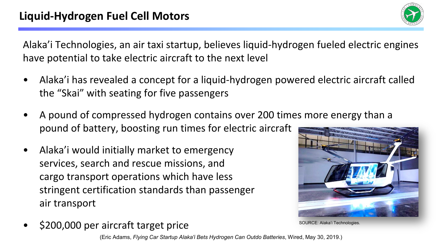

Alaka'i Technologies, an air taxi startup, believes liquid-hydrogen fueled electric engines have potential to take electric aircraft to the next level

- Alaka'i has revealed a concept for a liquid-hydrogen powered electric aircraft called the "Skai" with seating for five passengers
- A pound of compressed hydrogen contains over 200 times more energy than a pound of battery, boosting run times for electric aircraft
- Alaka'i would initially market to emergency services, search and rescue missions, and cargo transport operations which have less stringent certification standards than passenger air transport



CE: Alaka'i Technologies

• \$200,000 per aircraft target price

(Eric Adams, *Flying Car Startup Alaka'i Bets Hydrogen Can Outdo Batteries*, Wired, May 30, 2019.)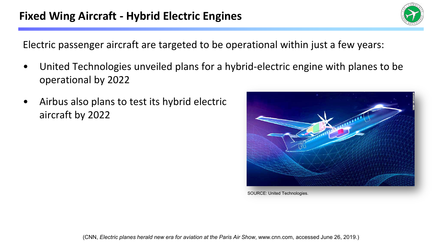Electric passenger aircraft are targeted to be operational within just a few years:

- United Technologies unveiled plans for a hybrid-electric engine with planes to be operational by 2022
- Airbus also plans to test its hybrid electric aircraft by 2022



SOURCE: United Technologies.

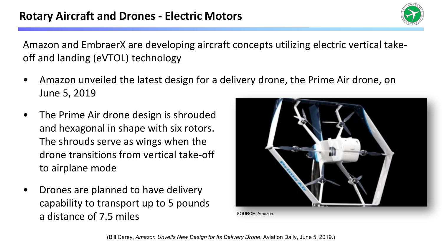Amazon and EmbraerX are developing aircraft concepts utilizing electric vertical takeoff and landing (eVTOL) technology

- Amazon unveiled the latest design for a delivery drone, the Prime Air drone, on June 5, 2019
- The Prime Air drone design is shrouded and hexagonal in shape with six rotors. The shrouds serve as wings when the drone transitions from vertical take-off to airplane mode
- Drones are planned to have delivery capability to transport up to 5 pounds a distance of 7.5 miles

SOURCE: Amazon.

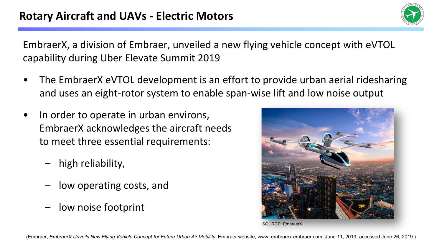

EmbraerX, a division of Embraer, unveiled a new flying vehicle concept with eVTOL capability during Uber Elevate Summit 2019

- The EmbraerX eVTOL development is an effort to provide urban aerial ridesharing and uses an eight-rotor system to enable span-wise lift and low noise output
- In order to operate in urban environs, EmbraerX acknowledges the aircraft needs to meet three essential requirements:
	- high reliability,
	- low operating costs, and
	- low noise footprint



SOURCE: EmbraerX.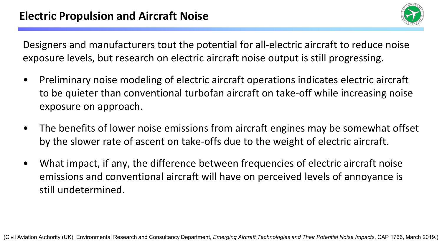

Designers and manufacturers tout the potential for all-electric aircraft to reduce noise exposure levels, but research on electric aircraft noise output is still progressing.

- Preliminary noise modeling of electric aircraft operations indicates electric aircraft to be quieter than conventional turbofan aircraft on take-off while increasing noise exposure on approach.
- The benefits of lower noise emissions from aircraft engines may be somewhat offset by the slower rate of ascent on take-offs due to the weight of electric aircraft.
- What impact, if any, the difference between frequencies of electric aircraft noise emissions and conventional aircraft will have on perceived levels of annoyance is still undetermined.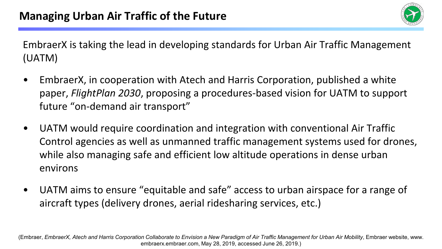

EmbraerX is taking the lead in developing standards for Urban Air Traffic Management (UATM)

- EmbraerX, in cooperation with Atech and Harris Corporation, published a white paper, *FlightPlan 2030*, proposing a procedures-based vision for UATM to support future "on-demand air transport"
- UATM would require coordination and integration with conventional Air Traffic Control agencies as well as unmanned traffic management systems used for drones, while also managing safe and efficient low altitude operations in dense urban environs
- UATM aims to ensure "equitable and safe" access to urban airspace for a range of aircraft types (delivery drones, aerial ridesharing services, etc.)

(Embraer, *EmbraerX, Atech and Harris Corporation Collaborate to Envision a New Paradigm of Air Traffic Management for Urban Air Mobility*, Embraer website, www. embraerx.embraer.com, May 28, 2019, accessed June 26, 2019.)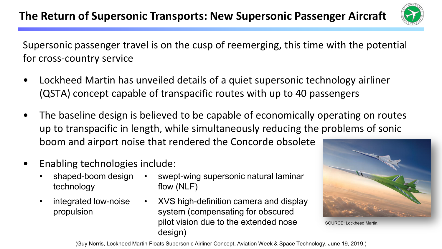

Supersonic passenger travel is on the cusp of reemerging, this time with the potential for cross-country service

- Lockheed Martin has unveiled details of a quiet supersonic technology airliner (QSTA) concept capable of transpacific routes with up to 40 passengers
- The baseline design is believed to be capable of economically operating on routes up to transpacific in length, while simultaneously reducing the problems of sonic boom and airport noise that rendered the Concorde obsolete
- Enabling technologies include:
	- shaped-boom design technology
	- integrated low-noise propulsion
- swept-wing supersonic natural laminar flow (NLF)
- XVS high-definition camera and display system (compensating for obscured pilot vision due to the extended nose design)



SOURCE: Lockheed Martin.

(Guy Norris, Lockheed Martin Floats Supersonic Airliner Concept, Aviation Week & Space Technology, June 19, 2019.)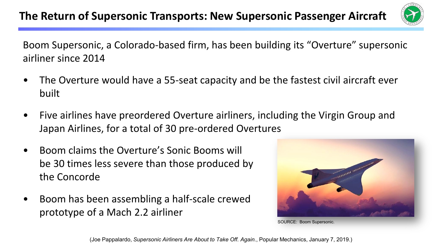

Boom Supersonic, a Colorado-based firm, has been building its "Overture" supersonic airliner since 2014

- The Overture would have a 55-seat capacity and be the fastest civil aircraft ever built
- Five airlines have preordered Overture airliners, including the Virgin Group and Japan Airlines, for a total of 30 pre-ordered Overtures
- Boom claims the Overture's Sonic Booms will be 30 times less severe than those produced by the Concorde
- Boom has been assembling a half-scale crewed prototype of a Mach 2.2 airliner



SOURCE: Boom Supersonic.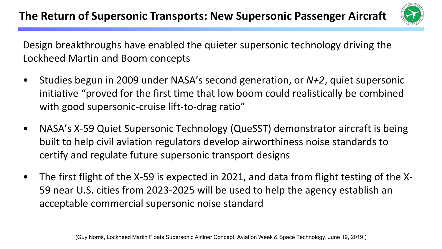

Design breakthroughs have enabled the quieter supersonic technology driving the Lockheed Martin and Boom concepts

- Studies begun in 2009 under NASA's second generation, or *N+2*, quiet supersonic initiative "proved for the first time that low boom could realistically be combined with good supersonic-cruise lift-to-drag ratio"
- NASA's X-59 Quiet Supersonic Technology (QueSST) demonstrator aircraft is being built to help civil aviation regulators develop airworthiness noise standards to certify and regulate future supersonic transport designs
- The first flight of the X-59 is expected in 2021, and data from flight testing of the X-59 near U.S. cities from 2023-2025 will be used to help the agency establish an acceptable commercial supersonic noise standard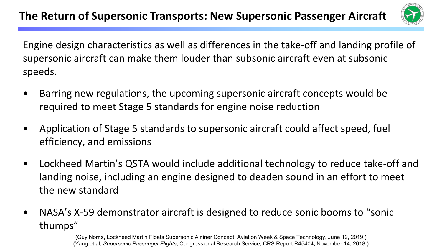

Engine design characteristics as well as differences in the take-off and landing profile of supersonic aircraft can make them louder than subsonic aircraft even at subsonic speeds.

- Barring new regulations, the upcoming supersonic aircraft concepts would be required to meet Stage 5 standards for engine noise reduction
- Application of Stage 5 standards to supersonic aircraft could affect speed, fuel efficiency, and emissions
- Lockheed Martin's QSTA would include additional technology to reduce take-off and landing noise, including an engine designed to deaden sound in an effort to meet the new standard
- NASA's X-59 demonstrator aircraft is designed to reduce sonic booms to "sonic thumps"

(Guy Norris, Lockheed Martin Floats Supersonic Airliner Concept, Aviation Week & Space Technology, June 19, 2019.) (Yang et al, *Supersonic Passenger Flights*, Congressional Research Service, CRS Report R45404, November 14, 2018.)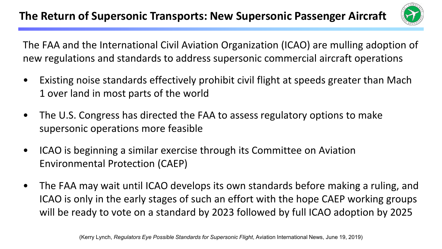

The FAA and the International Civil Aviation Organization (ICAO) are mulling adoption of new regulations and standards to address supersonic commercial aircraft operations

- Existing noise standards effectively prohibit civil flight at speeds greater than Mach 1 over land in most parts of the world
- The U.S. Congress has directed the FAA to assess regulatory options to make supersonic operations more feasible
- ICAO is beginning a similar exercise through its Committee on Aviation Environmental Protection (CAEP)
- The FAA may wait until ICAO develops its own standards before making a ruling, and ICAO is only in the early stages of such an effort with the hope CAEP working groups will be ready to vote on a standard by 2023 followed by full ICAO adoption by 2025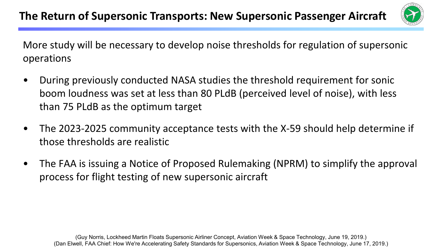

More study will be necessary to develop noise thresholds for regulation of supersonic operations

- During previously conducted NASA studies the threshold requirement for sonic boom loudness was set at less than 80 PLdB (perceived level of noise), with less than 75 PLdB as the optimum target
- The 2023-2025 community acceptance tests with the X-59 should help determine if those thresholds are realistic
- The FAA is issuing a Notice of Proposed Rulemaking (NPRM) to simplify the approval process for flight testing of new supersonic aircraft